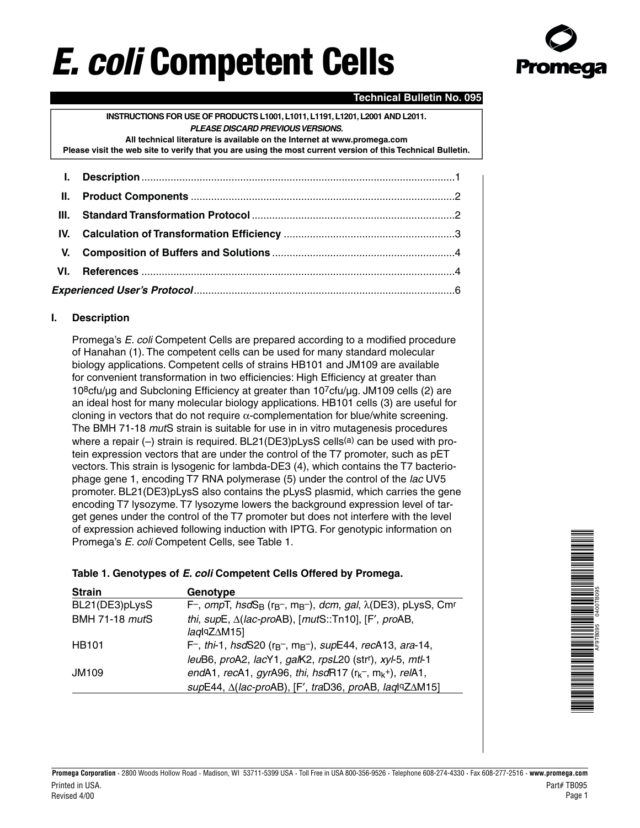# **E. coli Competent Cells**



## **Technical Bulletin No. 095**

**INSTRUCTIONS FOR USE OF PRODUCTS L1001,L1011,L1191,L1201,L2001 AND L2011. PLEASE DISCARD PREVIOUS VERSIONS. All technical literature is available on the Internet at www.promega.com Please visit the web site to verify that you are using the most current version of this Technical Bulletin.**

<span id="page-0-0"></span>

### **I. Description**

Promega's E. coli Competent Cells are prepared according to a modified procedure of Hanahan (1). The competent cells can be used for many standard molecular biology applications. Competent cells of strains HB101 and JM109 are available for convenient transformation in two efficiencies: High Efficiency at greater than 108cfu/µg and Subcloning Efficiency at greater than 107cfu/µg. JM109 cells (2) are an ideal host for many molecular biology applications. HB101 cells (3) are useful for cloning in vectors that do not require  $\alpha$ -complementation for blue/white screening. The BMH 71-18 *mut*S strain is suitable for use in in vitro mutagenesis procedures where a repair  $(-)$  strain is required. BL21(DE3)pLysS cells<sup>(a)</sup> can be used with protein expression vectors that are under the control of the T7 promoter, such as pET vectors. This strain is lysogenic for lambda-DE3 (4), which contains the T7 bacteriophage gene 1, encoding T7 RNA polymerase (5) under the control of the lac UV5 promoter. BL21(DE3)pLysS also contains the pLysS plasmid, which carries the gene encoding T7 lysozyme. T7 lysozyme lowers the background expression level of target genes under the control of the T7 promoter but does not interfere with the level of expression achieved following induction with IPTG. For genotypic information on Promega's E. coli Competent Cells, see Table 1.

#### **Table 1. Genotypes of E. coli Competent Cells Offered by Promega.**

| <b>Strain</b>         | Genotype                                                                                              |
|-----------------------|-------------------------------------------------------------------------------------------------------|
| BL21(DE3)pLysS        | F-, $ompT$ , $hsdS_B$ ( $r_B$ -, $m_B$ -), $dom$ , $gal$ , $\lambda$ (DE3), $pLysS$ , Cm <sup>r</sup> |
| <b>BMH 71-18 mutS</b> | thi, $supE$ , $\Delta (lac$ -proAB), $[mutS::Tn10]$ , $[F', probB, ]$                                 |
|                       | $laq$ <sup>q</sup> Z $\Delta$ M15]                                                                    |
| <b>HB101</b>          | F-, thi-1, hsdS20 ( $r_{B}$ -, m <sub>B</sub> -), supE44, recA13, ara-14,                             |
|                       | leuB6, proA2, lacY1, galK2, rpsL20 (strr), xyl-5, mtl-1                                               |
| <b>JM109</b>          | endA1, recA1, gyrA96, thi, hsdR17 $(r_kr$ , m <sub>k</sub> +), relA1,                                 |
|                       | supE44, $\Delta$ (lac-proAB), [F', traD36, proAB, laqlqZ $\Delta$ M15]                                |

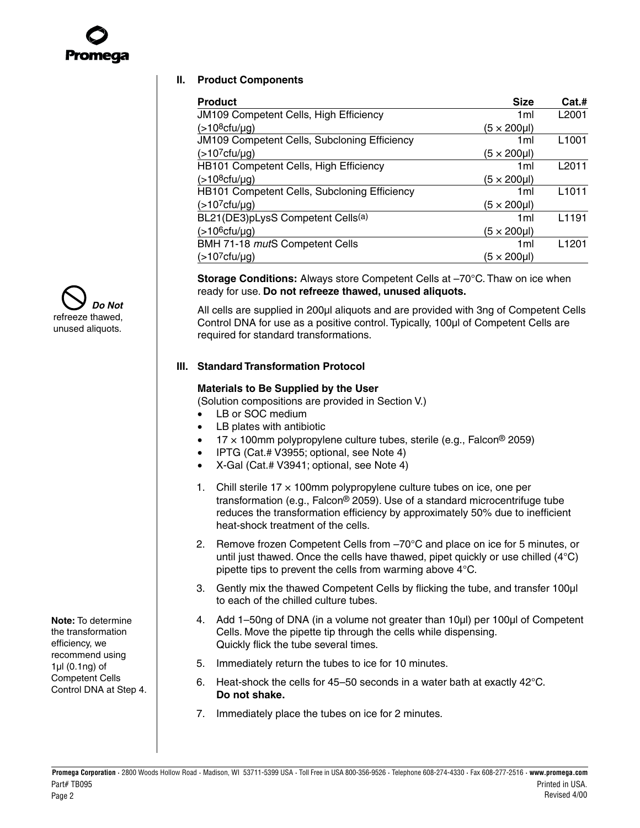<span id="page-1-1"></span><span id="page-1-0"></span>

#### **II. Product Components**

| <b>Product</b>                                      | <b>Size</b>     | Cat.#             |
|-----------------------------------------------------|-----------------|-------------------|
| <b>JM109 Competent Cells, High Efficiency</b>       | 1 <sub>ml</sub> | L <sub>2001</sub> |
| $($ >10 <sup>8</sup> cfu/µg)                        | (5 × 200µl)     |                   |
| <b>JM109 Competent Cells, Subcloning Efficiency</b> | 1ml             | L <sub>1001</sub> |
| $($ >10 <sup>7</sup> cfu/µg)                        | (5 × 200µl)     |                   |
| HB101 Competent Cells, High Efficiency              | 1ml             | L2011             |
| $($ >10 <sup>8</sup> cfu/µg)                        | (5 × 200µl)     |                   |
| HB101 Competent Cells, Subcloning Efficiency        | 1ml             | L <sub>1011</sub> |
| $($ >10 <sup>7</sup> cfu/µg)                        | (5 × 200µl)     |                   |
| BL21(DE3)pLysS Competent Cells(a)                   | 1ml             | L <sub>1191</sub> |
| $($ >10 <sup>6</sup> cfu/µg)                        | (5 × 200µl)     |                   |
| BMH 71-18 mutS Competent Cells                      | 1ml             | L <sub>1201</sub> |
| $($ >10 <sup>7</sup> cfu/µg)                        | (5 × 200µl)     |                   |

**Storage Conditions:** Always store Competent Cells at –70°C. Thaw on ice when ready for use. **Do not refreeze thawed, unused aliquots.**

All cells are supplied in 200µl aliquots and are provided with 3ng of Competent Cells Control DNA for use as a positive control. Typically, 100µl of Competent Cells are required for standard transformations.

#### **III. Standard Transformation Protocol**

#### **Materials to Be Supplied by the User**

(Solution compositions are provided i[n Section V.\)](#page-3-0)

- LB or SOC medium
- LB plates with antibiotic
- $17 \times 100$ mm polypropylene culture tubes, sterile (e.g., Falcon® 2059)
- IPTG (Cat.# V3955; optional, see Note 4)
- X-Gal (Cat.# V3941; optional, s[ee Note 4\)](#page-2-1)
- 1. Chill sterile  $17 \times 100$ mm polypropylene culture tubes on ice, one per transformation (e.g., Falcon® 2059). Use of a standard microcentrifuge tube reduces the transformation efficiency by approximately 50% due to inefficient heat-shock treatment of the cells.
- 2. Remove frozen Competent Cells from –70°C and place on ice for 5 minutes, or until just thawed. Once the cells have thawed, pipet quickly or use chilled (4°C) pipette tips to prevent the cells from warming above 4°C.
- 3. Gently mix the thawed Competent Cells by flicking the tube, and transfer 100µl to each of the chilled culture tubes.
- 4. Add 1–50ng of DNA (in a volume not greater than 10µl) per 100µl of Competent Cells. Move the pipette tip through the cells while dispensing. Quickly flick the tube several times.
- 5. Immediately return the tubes to ice for 10 minutes.
- 6. Heat-shock the cells for 45–50 seconds in a water bath at exactly 42°C. **Do not shake.**
- 7. Immediately place the tubes on ice for 2 minutes.





Competent Cells Control DNA at Step 4.

**Note:** To determine the transformation efficiency, we recommend using 1µl (0.1ng) of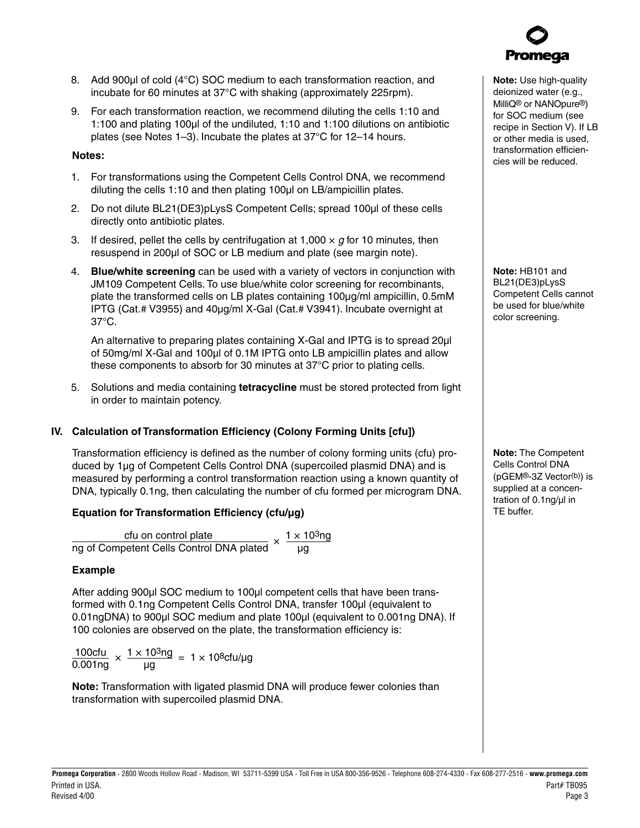**Promega Corporation ·** 2800 Woods Hollow Road **·** Madison, WI 53711-5399 USA **·** Toll Free in USA 800-356-9526 **·** Telephone 608-274-4330 **·** Fax 608-277-2516 **· www.promega.com** Printed in USA. Part# TB095 Revised 4/00 Page 3

- <span id="page-2-1"></span>8. Add 900µl of cold (4°C) SOC medium to each transformation reaction, and
- 9. For each transformation reaction, we recommend diluting the cells 1:10 and 1:100 and plating 100µl of the undiluted, 1:10 and 1:100 dilutions on antibiotic plates (see Notes 1–3). Incubate the plates at 37°C for 12–14 hours.

incubate for 60 minutes at 37°C with shaking (approximately 225rpm).

## <span id="page-2-0"></span>**Notes:**

- 1. For transformations using the Competent Cells Control DNA, we recommend diluting the cells 1:10 and then plating 100µl on LB/ampicillin plates.
- 2. Do not dilute BL21(DE3)pLysS Competent Cells; spread 100µl of these cells directly onto antibiotic plates.
- 3. If desired, pellet the cells by centrifugation at 1,000  $\times$  g for 10 minutes, then resuspend in 200µl of SOC or LB medium and plate (see margin note).
- 4. **Blue/white screening** can be used with a variety of vectors in conjunction with JM109 Competent Cells. To use blue/white color screening for recombinants, plate the transformed cells on LB plates containing 100µg/ml ampicillin, 0.5mM IPTG (Cat.# V3955) and 40µg/ml X-Gal (Cat.# V3941). Incubate overnight at 37°C.

An alternative to preparing plates containing X-Gal and IPTG is to spread 20µl of 50mg/ml X-Gal and 100ul of 0.1M IPTG onto LB ampicillin plates and allow these components to absorb for 30 minutes at 37°C prior to plating cells.

5. Solutions and media containing **tetracycline** must be stored protected from light in order to maintain potency.

## **IV. Calculation of Transformation Efficiency (Colony Forming Units [cfu])**

Transformation efficiency is defined as the number of colony forming units (cfu) produced by 1µg of Competent Cells Control DNA (supercoiled plasmid DNA) and is measured by performing a control transformation reaction using a known quantity of DNA, typically 0.1ng, then calculating the number of cfu formed per microgram DNA.

## **Equation for Transformation Efficiency (cfu/µg)**

 $\frac{\text{c}f}{\text{cm}}$  cfu on control plate<br>
Ing of Competent Cells Control DNA plated  $\times$   $\frac{1 \times 10^3 \text{ng}}{\text{pg}}$ 

## **Example**

After adding 900µl SOC medium to 100µl competent cells that have been transformed with 0.1ng Competent Cells Control DNA, transfer 100µl (equivalent to 0.01ngDNA) to 900µl SOC medium and plate 100µl (equivalent to 0.001ng DNA). If 100 colonies are observed on the plate, the transformation efficiency is:

 $\frac{100cfu}{0.001ng} \times \frac{1 \times 10^3ng}{\mu g} = 1 \times 10^8cfu/\mu g$ 

**Note:** Transformation with ligated plasmid DNA will produce fewer colonies than transformation with supercoiled plasmid DNA.

**Note:** Use high-quality deionized water (e.g., MilliQ® or NANOpure®) for SOC medium (see recipe i[n Section V\).](#page-3-0) If LB or other media is used, transformation efficiencies will be reduced.

**Note:** HB101 and BL21(DE3)pLysS Competent Cells cannot be used for blue/white color screening.

**Note:** The Competent Cells Control DNA (pGEM®-3Z Vector(b)) is supplied at a concentration of 0.1ng/µl in TE buffer.

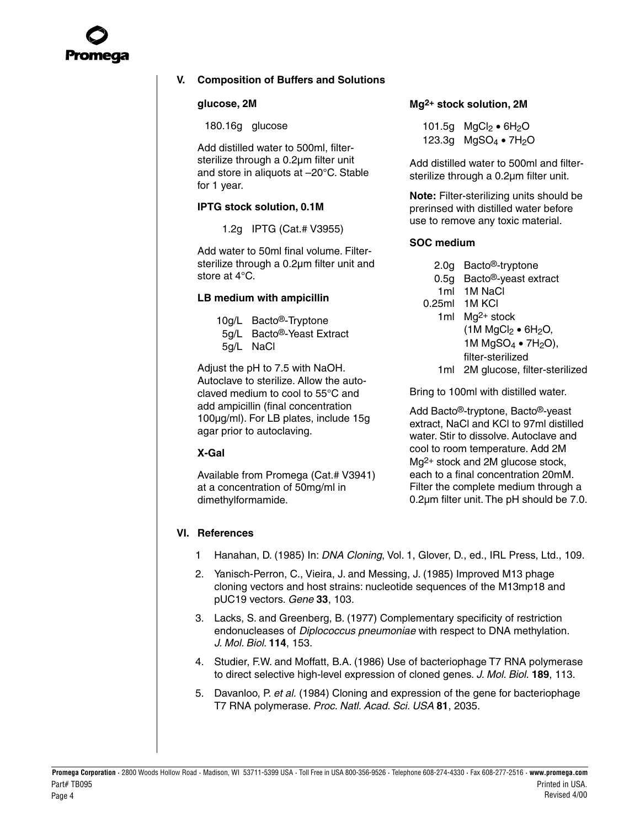<span id="page-3-1"></span><span id="page-3-0"></span>

### **V. Composition of Buffers and Solutions**

#### **glucose, 2M**

180.16g glucose

Add distilled water to 500ml, filtersterilize through a 0.2µm filter unit and store in aliquots at –20°C. Stable for 1 year.

#### **IPTG stock solution, 0.1M**

1.2g IPTG (Cat.# V3955)

Add water to 50ml final volume. Filtersterilize through a 0.2µm filter unit and store at 4°C.

#### **LB medium with ampicillin**

| 10g/L | Bacto <sup>®</sup> -Tryptone |
|-------|------------------------------|
|-------|------------------------------|

- 5g/L Bacto®-Yeast Extract
- 5g/L NaCl

Adjust the pH to 7.5 with NaOH. Autoclave to sterilize. Allow the autoclaved medium to cool to 55°C and add ampicillin (final concentration 100µg/ml). For LB plates, include 15g agar prior to autoclaving.

#### **X-Gal**

Available from Promega (Cat.# V3941) at a concentration of 50mg/ml in dimethylformamide.

#### **Mg2+ stock solution, 2M**

101.5g  $MgCl_2 \bullet 6H_2O$ 123.3g  $MgSO_4 \bullet 7H_2O$ 

Add distilled water to 500ml and filtersterilize through a 0.2µm filter unit.

**Note:** Filter-sterilizing units should be prerinsed with distilled water before use to remove any toxic material.

#### **SOC medium**

- 2.0g Bacto®-tryptone
- 0.5g Bacto®-yeast extract
- 1ml 1M NaCl 0.25ml 1M KCl
	- 1ml Mg2+ stock  $(1M MgCl<sub>2</sub> \bullet 6H<sub>2</sub>O,$ 1M  $MqSO<sub>4</sub>$  • 7H<sub>2</sub>O), filter-sterilized
	- 1ml 2M glucose, filter-sterilized

Bring to 100ml with distilled water.

Add Bacto®-tryptone, Bacto®-yeast extract, NaCl and KCl to 97ml distilled water. Stir to dissolve. Autoclave and cool to room temperature. Add 2M Mg2+ stock and 2M glucose stock, each to a final concentration 20mM. Filter the complete medium through a 0.2µm filter unit. The pH should be 7.0.

#### **VI. References**

- 1 Hanahan, D. (1985) In: DNA Cloning, Vol. 1, Glover, D., ed., IRL Press, Ltd., 109.
- 2. Yanisch-Perron, C., Vieira, J. and Messing, J. (1985) Improved M13 phage cloning vectors and host strains: nucleotide sequences of the M13mp18 and pUC19 vectors. Gene **33**, 103.
- 3. Lacks, S. and Greenberg, B. (1977) Complementary specificity of restriction endonucleases of Diplococcus pneumoniae with respect to DNA methylation. J. Mol. Biol. **114**, 153.
- 4. Studier, F.W. and Moffatt, B.A. (1986) Use of bacteriophage T7 RNA polymerase to direct selective high-level expression of cloned genes. J. Mol. Biol. **189**, 113.
- 5. Davanloo, P. et al. (1984) Cloning and expression of the gene for bacteriophage T7 RNA polymerase. Proc. Natl. Acad. Sci. USA **81**, 2035.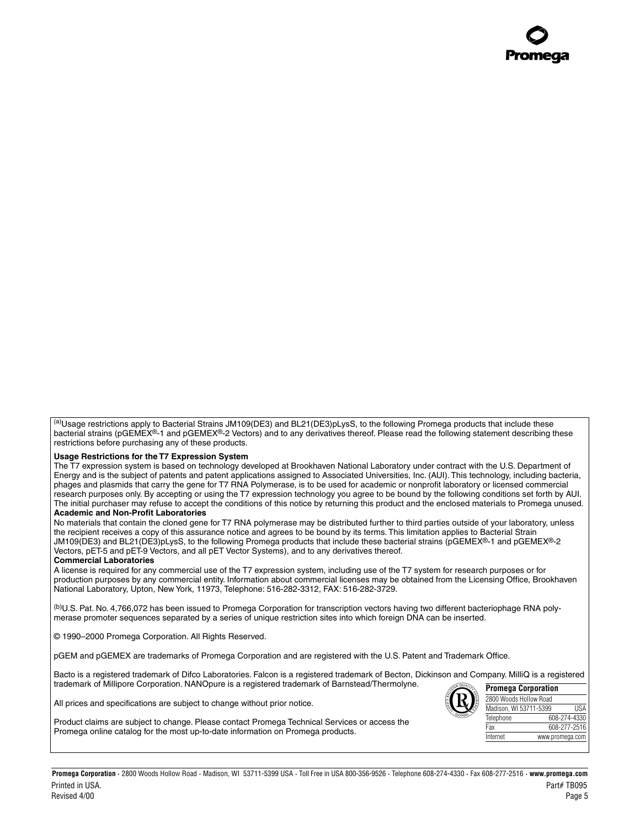<sup>(a)</sup>Usage restrictions apply to Bacterial Strains JM109(DE3) and BL21(DE3)pLysS, to the following Promega products that include these bacterial strains (pGEMEX<sup>®</sup>-1 and pGEMEX<sup>®</sup>-2 Vectors) and to any derivatives thereof. Please read the following statement describing these restrictions before purchasing any of these products.

#### **Usage Restrictions for the T7 Expression System**

The T7 expression system is based on technology developed at Brookhaven National Laboratory under contract with the U.S. Department of Energy and is the subject of patents and patent applications assigned to Associated Universities, Inc. (AUI). This technology, including bacteria, phages and plasmids that carry the gene for T7 RNA Polymerase, is to be used for academic or nonprofit laboratory or licensed commercial research purposes only. By accepting or using the T7 expression technology you agree to be bound by the following conditions set forth by AUI. The initial purchaser may refuse to accept the conditions of this notice by returning this product and the enclosed materials to Promega unused. **Academic and Non-Profit Laboratories**

No materials that contain the cloned gene for T7 RNA polymerase may be distributed further to third parties outside of your laboratory, unless the recipient receives a copy of this assurance notice and agrees to be bound by its terms. This limitation applies to Bacterial Strain JM109(DE3) and BL21(DE3)pLysS, to the following Promega products that include these bacterial strains (pGEMEX®-1 and pGEMEX®-2 Vectors, pET-5 and pET-9 Vectors, and all pET Vector Systems), and to any derivatives thereof.

#### **Commercial Laboratories**

A license is required for any commercial use of the T7 expression system, including use of the T7 system for research purposes or for production purposes by any commercial entity. Information about commercial licenses may be obtained from the Licensing Office, Brookhaven National Laboratory, Upton, New York, 11973, Telephone: 516-282-3312, FAX: 516-282-3729.

(b)U.S. Pat. No. 4,766,072 has been issued to Promega Corporation for transcription vectors having two different bacteriophage RNA polymerase promoter sequences separated by a series of unique restriction sites into which foreign DNA can be inserted.

© 1990–2000 Promega Corporation. All Rights Reserved.

pGEM and pGEMEX are trademarks of Promega Corporation and are registered with the U.S. Patent and Trademark Office.

Bacto is a registered trademark of Difco Laboratories. Falcon is a registered trademark of Becton, Dickinson and Company. MilliQ is a registered trademark of Millipore Corporation. NANOpure is a registered trademark of Barnstead/Thermolyne. **Promega Corporation**

All prices and specifications are subject to change without prior notice.



2800 Woods Hollow Road Madison, WI 53711-5399 USA Telephone 608-274-4330 Fax 608-277-2516 Internet www.promega.com

Product claims are subject to change. Please contact Promega Technical Services or access the Promega online catalog for the most up-to-date information on Promega products.